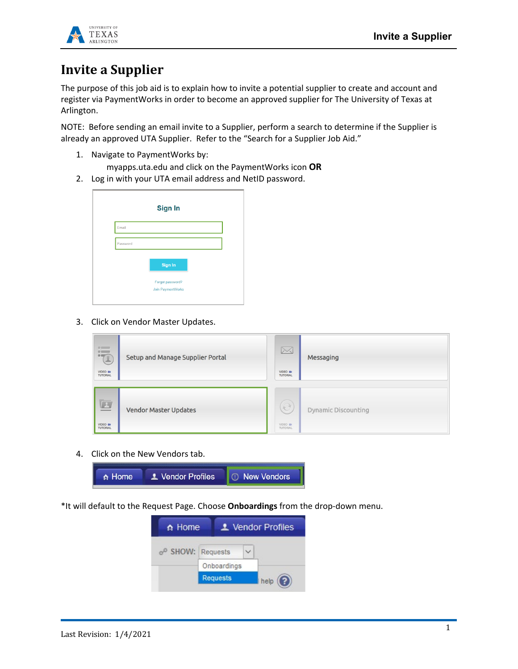

## **Invite a Supplier**

The purpose of this job aid is to explain how to invite a potential supplier to create and account and register via PaymentWorks in order to become an approved supplier for The University of Texas at Arlington.

NOTE: Before sending an email invite to a Supplier, perform a search to determine if the Supplier is already an approved UTA Supplier. Refer to the "Search for a Supplier Job Aid."

1. Navigate to PaymentWorks by:

myapps.uta.edu and click on the PaymentWorks icon **OR**

2. Log in with your UTA email address and NetID password.



3. Click on Vendor Master Updates.

| 15<br>VIDEO IN<br><b>TUTORIAL</b>                               | Setup and Manage Supplier Portal | $\boxtimes$<br>VIDEO IN<br><b>TUTORIAL</b>   | Messaging                  |
|-----------------------------------------------------------------|----------------------------------|----------------------------------------------|----------------------------|
| $\boxed{\underline{\mathbf{L}}}$<br>VIDEO IN<br><b>TUTORIAL</b> | <b>Vendor Master Updates</b>     | $\widehat{\partial}$<br>VIDEO IN<br>TUTORIAL | <b>Dynamic Discounting</b> |

4. Click on the New Vendors tab.



\*It will default to the Request Page. Choose **Onboardings** from the drop-down menu.

| n Home                        |                 | L Vendor Profiles |
|-------------------------------|-----------------|-------------------|
| o <sup>o</sup> SHOW: Requests |                 |                   |
|                               | Onboardings     |                   |
|                               | <b>Requests</b> | help              |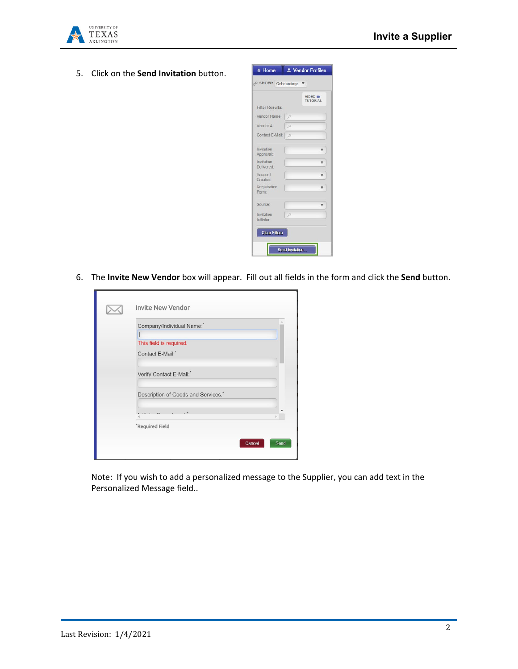

5. Click on the **Send Invitation** button.



6. The **Invite New Vendor** box will appear. Fill out all fields in the form and click the **Send** button.

| Company/Individual Name:           |
|------------------------------------|
| This field is required.            |
| Contact E-Mail:*                   |
| Verify Contact E-Mail:*            |
| Description of Goods and Services: |
|                                    |
| *Required Field                    |

Note: If you wish to add a personalized message to the Supplier, you can add text in the Personalized Message field..